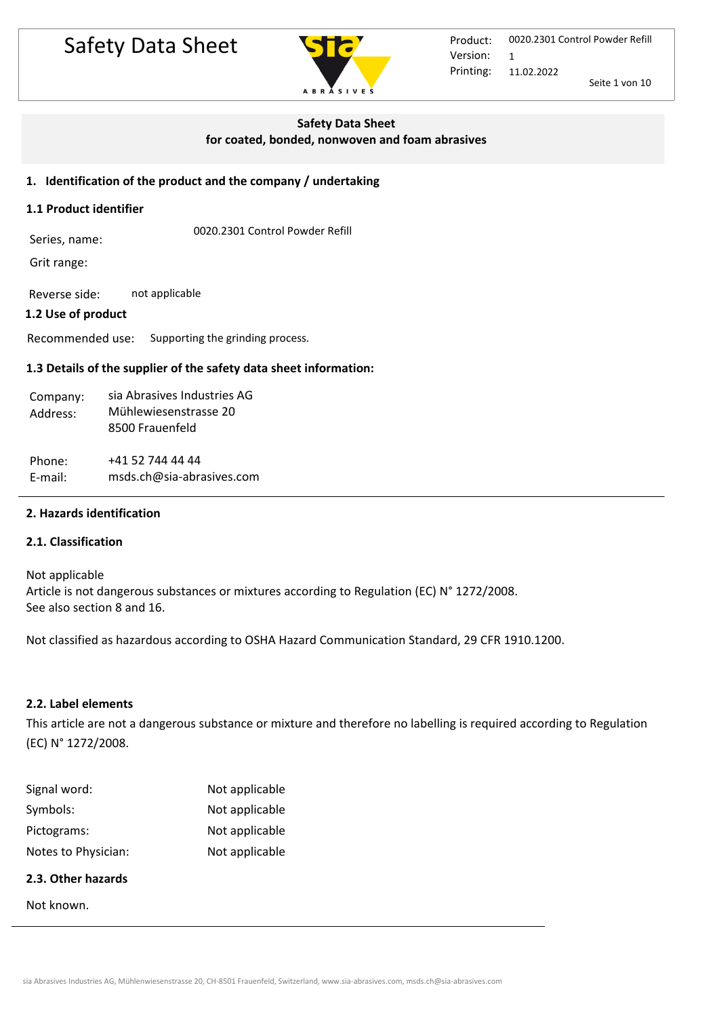# Safety Data Sheet **Product:**



Printing: 0020.2301 Control Powder Refill 11.02.2022 Seite 1 von 10 Version: 1

## **Safety Data Sheet**

**for coated, bonded, nonwoven and foam abrasives**

## **1. Identification of the product and the company / undertaking**

### **1.1 Product identifier**

0020.2301 Control Powder Refill Series, name:

Grit range:

Reverse side: not applicable

## **1.2 Use of product**

Recommended use: Supporting the grinding process.

## **1.3 Details of the supplier of the safety data sheet information:**

| Company: | sia Abrasives Industries AG |
|----------|-----------------------------|
| Address: | Mühlewiesenstrasse 20       |
|          | 8500 Frauenfeld             |
|          |                             |
| Phone:   | +41 52 744 44 44            |
| E-mail:  | msds.ch@sia-abrasives.com   |

## **2. Hazards identification**

## **2.1. Classification**

Not applicable Article is not dangerous substances or mixtures according to Regulation (EC) N° 1272/2008. See also section 8 and 16.

Not classified as hazardous according to OSHA Hazard Communication Standard, 29 CFR 1910.1200.

### **2.2. Label elements**

This article are not a dangerous substance or mixture and therefore no labelling is required according to Regulation (EC) N° 1272/2008.

| Signal word:        | Not applicable |
|---------------------|----------------|
| Symbols:            | Not applicable |
| Pictograms:         | Not applicable |
| Notes to Physician: | Not applicable |

# **2.3. Other hazards**

Not known.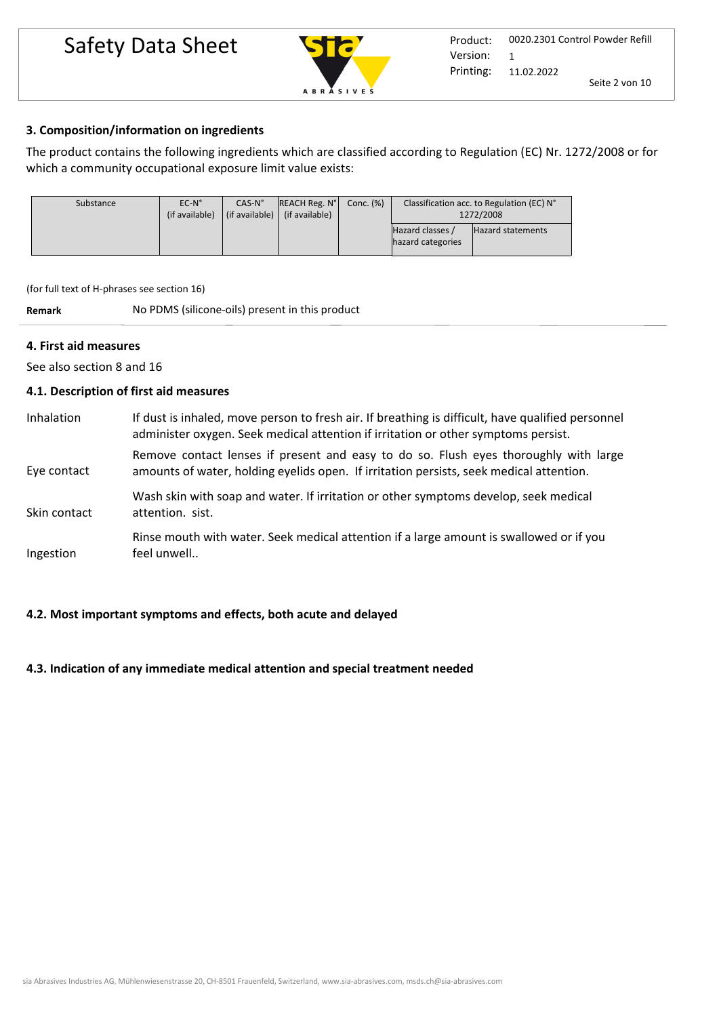# Safety Data Sheet Marian Product:



## **3. Composition/information on ingredients**

The product contains the following ingredients which are classified according to Regulation (EC) Nr. 1272/2008 or for which a community occupational exposure limit value exists:

| Substance | $EC-N^{\circ}$<br>(if available) | $CAS-N°$<br>(if available) $\parallel$ | <b>REACH Reg. N°</b><br>(if available) | Conc. (%) |                                       | Classification acc. to Regulation (EC) N°<br>1272/2008 |
|-----------|----------------------------------|----------------------------------------|----------------------------------------|-----------|---------------------------------------|--------------------------------------------------------|
|           |                                  |                                        |                                        |           | Hazard classes /<br>hazard categories | <b>Hazard statements</b>                               |

(for full text of H-phrases see section 16)

**Remark** No PDMS (silicone-oils) present in this product

## **4. First aid measures**

See also section 8 and 16

## **4.1. Description of first aid measures**

| Inhalation   | If dust is inhaled, move person to fresh air. If breathing is difficult, have qualified personnel<br>administer oxygen. Seek medical attention if irritation or other symptoms persist. |
|--------------|-----------------------------------------------------------------------------------------------------------------------------------------------------------------------------------------|
| Eye contact  | Remove contact lenses if present and easy to do so. Flush eyes thoroughly with large<br>amounts of water, holding eyelids open. If irritation persists, seek medical attention.         |
| Skin contact | Wash skin with soap and water. If irritation or other symptoms develop, seek medical<br>attention. sist.                                                                                |
| Ingestion    | Rinse mouth with water. Seek medical attention if a large amount is swallowed or if you<br>feel unwell                                                                                  |

## **4.2. Most important symptoms and effects, both acute and delayed**

### **4.3. Indication of any immediate medical attention and special treatment needed**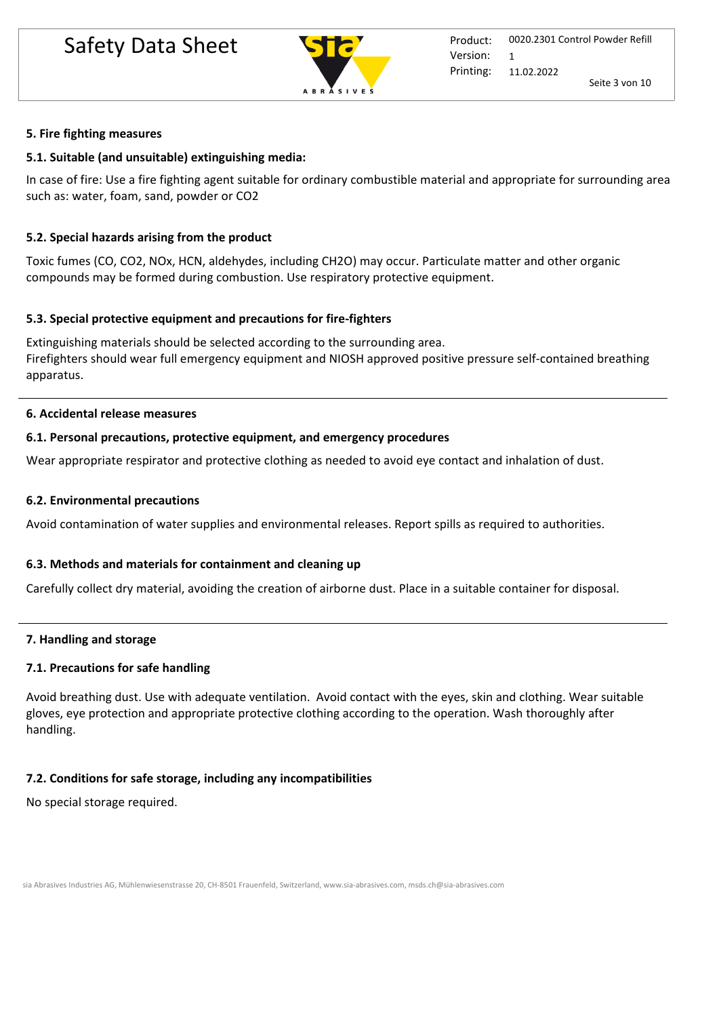

## **5. Fire fighting measures**

## **5.1. Suitable (and unsuitable) extinguishing media:**

In case of fire: Use a fire fighting agent suitable for ordinary combustible material and appropriate for surrounding area such as: water, foam, sand, powder or CO2

# **5.2. Special hazards arising from the product**

Toxic fumes (CO, CO2, NOx, HCN, aldehydes, including CH2O) may occur. Particulate matter and other organic compounds may be formed during combustion. Use respiratory protective equipment.

## **5.3. Special protective equipment and precautions for fire-fighters**

Extinguishing materials should be selected according to the surrounding area. Firefighters should wear full emergency equipment and NIOSH approved positive pressure self-contained breathing apparatus.

## **6. Accidental release measures**

## **6.1. Personal precautions, protective equipment, and emergency procedures**

Wear appropriate respirator and protective clothing as needed to avoid eye contact and inhalation of dust.

## **6.2. Environmental precautions**

Avoid contamination of water supplies and environmental releases. Report spills as required to authorities.

## **6.3. Methods and materials for containment and cleaning up**

Carefully collect dry material, avoiding the creation of airborne dust. Place in a suitable container for disposal.

## **7. Handling and storage**

# **7.1. Precautions for safe handling**

Avoid breathing dust. Use with adequate ventilation. Avoid contact with the eyes, skin and clothing. Wear suitable gloves, eye protection and appropriate protective clothing according to the operation. Wash thoroughly after handling.

# **7.2. Conditions for safe storage, including any incompatibilities**

No special storage required.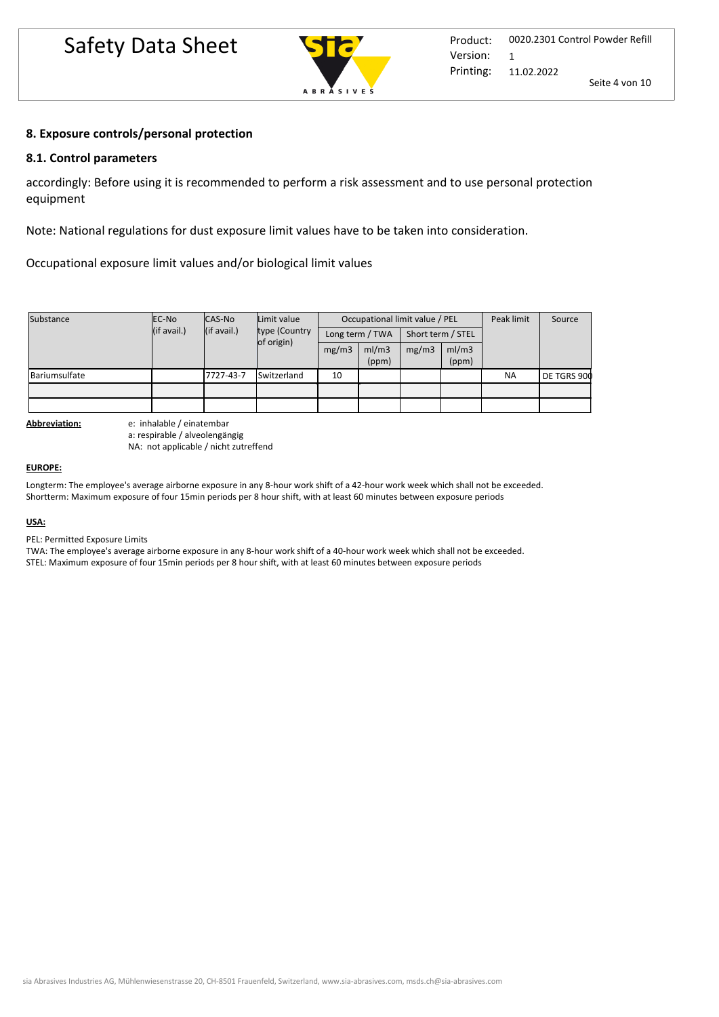

## **8. Exposure controls/personal protection**

### **8.1. Control parameters**

accordingly: Before using it is recommended to perform a risk assessment and to use personal protection equipment

Note: National regulations for dust exposure limit values have to be taken into consideration.

Occupational exposure limit values and/or biological limit values

| Substance     | EC-No       | CAS-No      | Limit value<br>type (Country<br>of origin) | Occupational limit value / PEL |                 |       |                   | Peak limit | Source      |
|---------------|-------------|-------------|--------------------------------------------|--------------------------------|-----------------|-------|-------------------|------------|-------------|
|               | (if avail.) | (if avail.) |                                            |                                | Long term / TWA |       | Short term / STEL |            |             |
|               |             |             |                                            | mg/m3                          | ml/m3<br>(ppm)  | mg/m3 | ml/m3<br>(ppm)    |            |             |
| Bariumsulfate |             | 7727-43-7   | Switzerland                                | 10                             |                 |       |                   | <b>NA</b>  | DE TGRS 900 |
|               |             |             |                                            |                                |                 |       |                   |            |             |
|               |             |             |                                            |                                |                 |       |                   |            |             |

**Abbreviation:** e: inhalable / einatembar a: respirable / alveolengängig NA: not applicable / nicht zutreffend

#### **EUROPE:**

Longterm: The employee's average airborne exposure in any 8-hour work shift of a 42-hour work week which shall not be exceeded. Shortterm: Maximum exposure of four 15min periods per 8 hour shift, with at least 60 minutes between exposure periods

#### **USA:**

PEL: Permitted Exposure Limits

TWA: The employee's average airborne exposure in any 8-hour work shift of a 40-hour work week which shall not be exceeded.

STEL: Maximum exposure of four 15min periods per 8 hour shift, with at least 60 minutes between exposure periods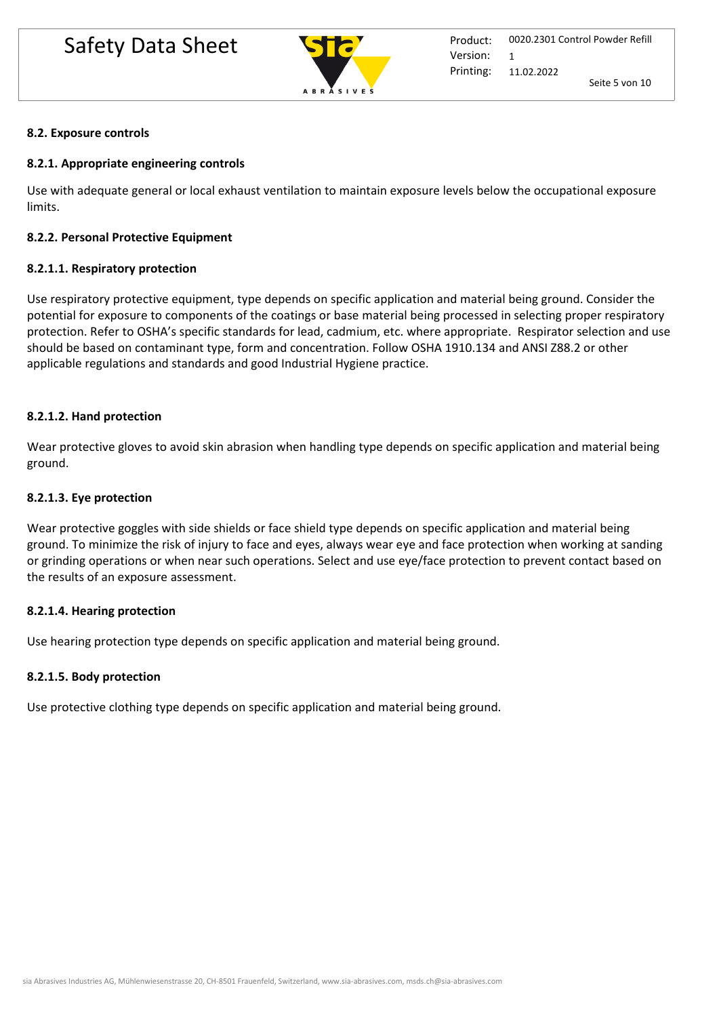

## **8.2. Exposure controls**

# **8.2.1. Appropriate engineering controls**

Use with adequate general or local exhaust ventilation to maintain exposure levels below the occupational exposure limits.

## **8.2.2. Personal Protective Equipment**

## **8.2.1.1. Respiratory protection**

Use respiratory protective equipment, type depends on specific application and material being ground. Consider the potential for exposure to components of the coatings or base material being processed in selecting proper respiratory protection. Refer to OSHA's specific standards for lead, cadmium, etc. where appropriate. Respirator selection and use should be based on contaminant type, form and concentration. Follow OSHA 1910.134 and ANSI Z88.2 or other applicable regulations and standards and good Industrial Hygiene practice.

## **8.2.1.2. Hand protection**

Wear protective gloves to avoid skin abrasion when handling type depends on specific application and material being ground.

## **8.2.1.3. Eye protection**

Wear protective goggles with side shields or face shield type depends on specific application and material being ground. To minimize the risk of injury to face and eyes, always wear eye and face protection when working at sanding or grinding operations or when near such operations. Select and use eye/face protection to prevent contact based on the results of an exposure assessment.

## **8.2.1.4. Hearing protection**

Use hearing protection type depends on specific application and material being ground.

## **8.2.1.5. Body protection**

Use protective clothing type depends on specific application and material being ground.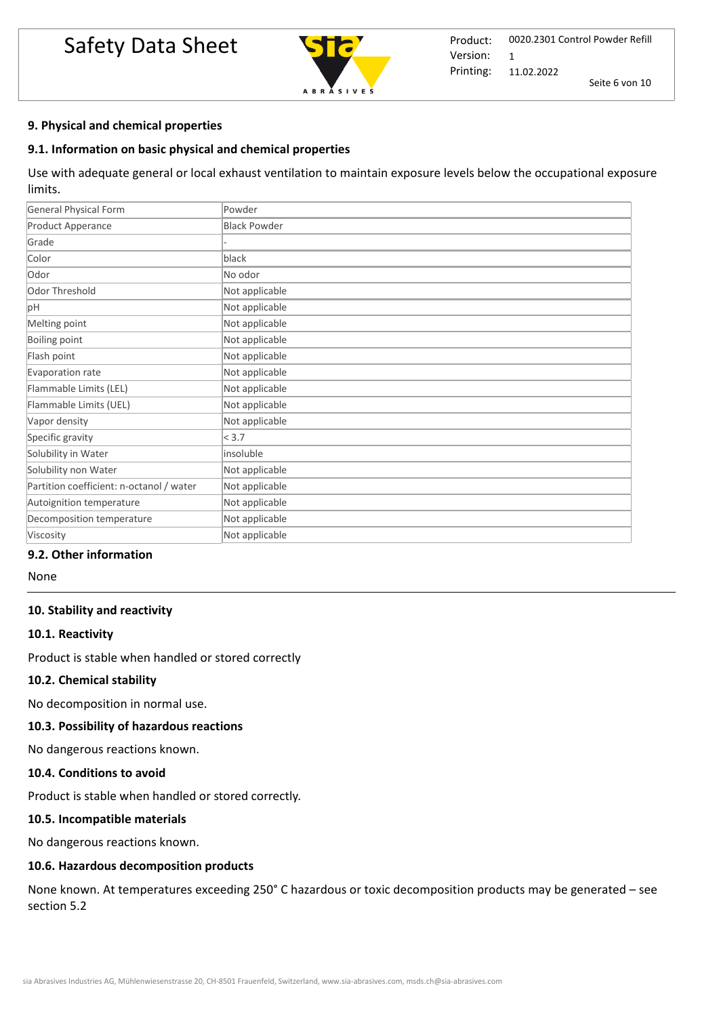# Safety Data Sheet



## **9. Physical and chemical properties**

## **9.1. Information on basic physical and chemical properties**

Use with adequate general or local exhaust ventilation to maintain exposure levels below the occupational exposure limits.

| <b>General Physical Form</b>             | Powder              |
|------------------------------------------|---------------------|
| Product Apperance                        | <b>Black Powder</b> |
| Grade                                    |                     |
| Color                                    | black               |
| Odor                                     | No odor             |
| Odor Threshold                           | Not applicable      |
| pH                                       | Not applicable      |
| Melting point                            | Not applicable      |
| <b>Boiling point</b>                     | Not applicable      |
| Flash point                              | Not applicable      |
| Evaporation rate                         | Not applicable      |
| Flammable Limits (LEL)                   | Not applicable      |
| Flammable Limits (UEL)                   | Not applicable      |
| Vapor density                            | Not applicable      |
| Specific gravity                         | < 3.7               |
| Solubility in Water                      | insoluble           |
| Solubility non Water                     | Not applicable      |
| Partition coefficient: n-octanol / water | Not applicable      |
| Autoignition temperature                 | Not applicable      |
| Decomposition temperature                | Not applicable      |
| Viscosity                                | Not applicable      |

# **9.2. Other information**

None

### **10. Stability and reactivity**

### **10.1. Reactivity**

Product is stable when handled or stored correctly

### **10.2. Chemical stability**

No decomposition in normal use.

### **10.3. Possibility of hazardous reactions**

No dangerous reactions known.

### **10.4. Conditions to avoid**

Product is stable when handled or stored correctly. 

#### **10.5. Incompatible materials**

No dangerous reactions known.

## **10.6. Hazardous decomposition products**

None known. At temperatures exceeding 250° C hazardous or toxic decomposition products may be generated – see section 5.2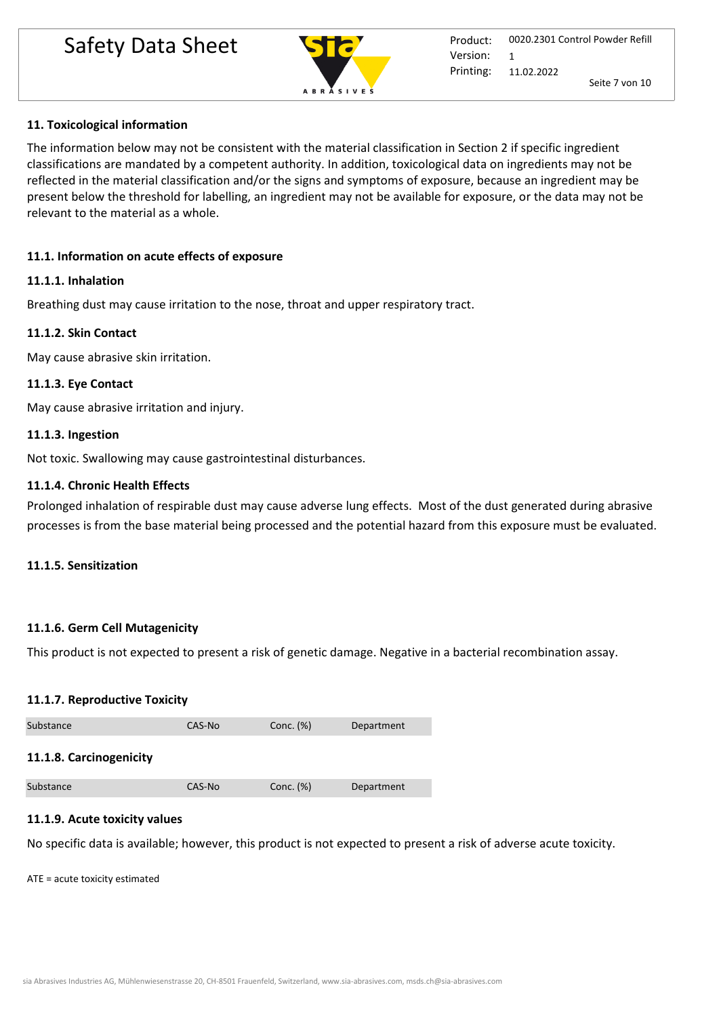# Safety Data Sheet **Safety Data Sheet**



# **11. Toxicological information**

The information below may not be consistent with the material classification in Section 2 if specific ingredient classifications are mandated by a competent authority. In addition, toxicological data on ingredients may not be reflected in the material classification and/or the signs and symptoms of exposure, because an ingredient may be present below the threshold for labelling, an ingredient may not be available for exposure, or the data may not be relevant to the material as a whole.

# **11.1. Information on acute effects of exposure**

## **11.1.1. Inhalation**

Breathing dust may cause irritation to the nose, throat and upper respiratory tract.

## **11.1.2. Skin Contact**

May cause abrasive skin irritation.

## **11.1.3. Eye Contact**

May cause abrasive irritation and injury.

# **11.1.3. Ingestion**

Not toxic. Swallowing may cause gastrointestinal disturbances.

## **11.1.4. Chronic Health Effects**

Prolonged inhalation of respirable dust may cause adverse lung effects. Most of the dust generated during abrasive processes is from the base material being processed and the potential hazard from this exposure must be evaluated.

## **11.1.5. Sensitization**

## **11.1.6. Germ Cell Mutagenicity**

This product is not expected to present a risk of genetic damage. Negative in a bacterial recombination assay.

## **11.1.7. Reproductive Toxicity**

| Substance               | CAS-No | Conc. $(\%)$ | Department |
|-------------------------|--------|--------------|------------|
| 11.1.8. Carcinogenicity |        |              |            |
| Substance               | CAS-No | Conc. (%)    | Department |

## **11.1.9. Acute toxicity values**

No specific data is available; however, this product is not expected to present a risk of adverse acute toxicity.

ATE = acute toxicity estimated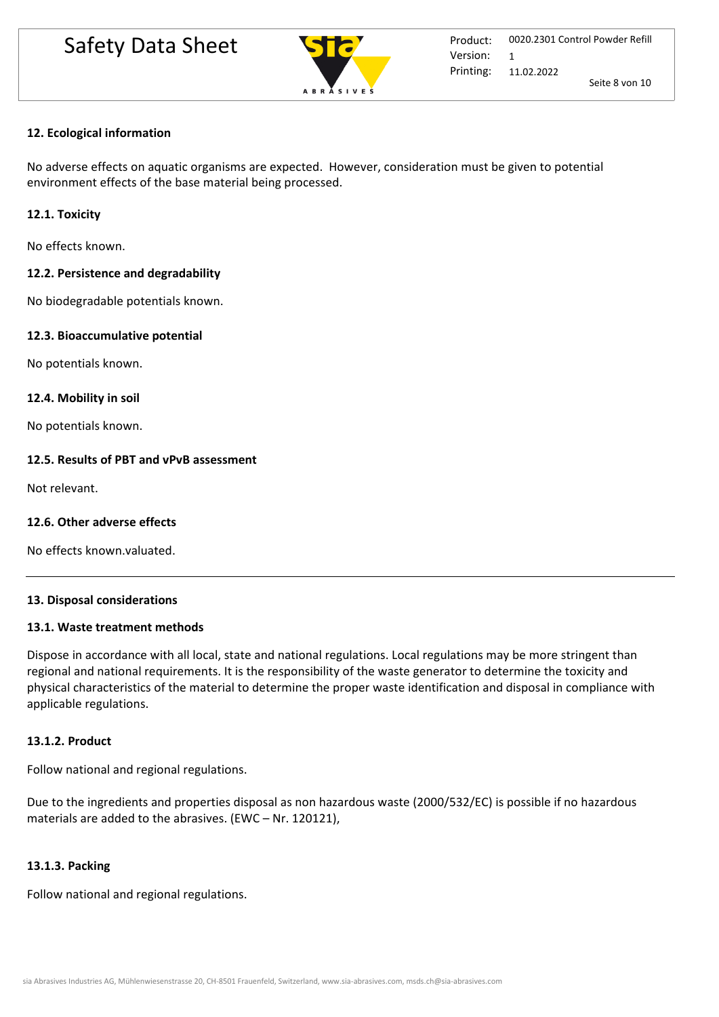

# **12. Ecological information**

No adverse effects on aquatic organisms are expected. However, consideration must be given to potential environment effects of the base material being processed.

# **12.1. Toxicity**

No effects known.

# **12.2. Persistence and degradability**

No biodegradable potentials known.

# **12.3. Bioaccumulative potential**

No potentials known.

## **12.4. Mobility in soil**

No potentials known.

## **12.5. Results of PBT and vPvB assessment**

Not relevant.

# **12.6. Other adverse effects**

No effects known.valuated.

## **13. Disposal considerations**

## **13.1. Waste treatment methods**

Dispose in accordance with all local, state and national regulations. Local regulations may be more stringent than regional and national requirements. It is the responsibility of the waste generator to determine the toxicity and physical characteristics of the material to determine the proper waste identification and disposal in compliance with applicable regulations.

## **13.1.2. Product**

Follow national and regional regulations.

Due to the ingredients and properties disposal as non hazardous waste (2000/532/EC) is possible if no hazardous materials are added to the abrasives. (EWC – Nr. 120121),

## **13.1.3. Packing**

Follow national and regional regulations.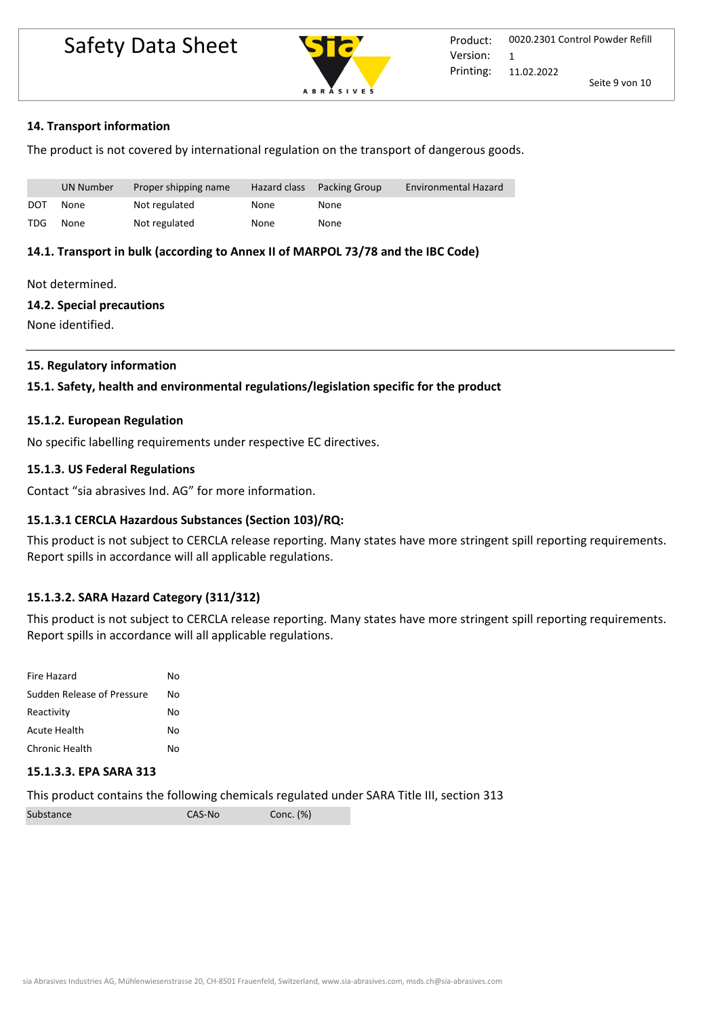# Safety Data Sheet **Product:**



## **14. Transport information**

The product is not covered by international regulation on the transport of dangerous goods.

|            | UN Number | Proper shipping name | Hazard class | <b>Packing Group</b> | <b>Environmental Hazard</b> |
|------------|-----------|----------------------|--------------|----------------------|-----------------------------|
| DOT        | None      | Not regulated        | None         | None                 |                             |
| <b>TDG</b> | None      | Not regulated        | None         | None                 |                             |

## **14.1. Transport in bulk (according to Annex II of MARPOL 73/78 and the IBC Code)**

Not determined.

#### **14.2. Special precautions**

None identified.

## **15. Regulatory information**

## **15.1. Safety, health and environmental regulations/legislation specific for the product**

### **15.1.2. European Regulation**

No specific labelling requirements under respective EC directives.

## **15.1.3. US Federal Regulations**

Contact "sia abrasives Ind. AG" for more information.

## **15.1.3.1 CERCLA Hazardous Substances (Section 103)/RQ:**

This product is not subject to CERCLA release reporting. Many states have more stringent spill reporting requirements. Report spills in accordance will all applicable regulations.

## **15.1.3.2. SARA Hazard Category (311/312)**

This product is not subject to CERCLA release reporting. Many states have more stringent spill reporting requirements. Report spills in accordance will all applicable regulations.

| Fire Hazard                | No |
|----------------------------|----|
| Sudden Release of Pressure | No |
| Reactivity                 | No |
| Acute Health               | No |
| Chronic Health             | N٥ |

### **15.1.3.3. EPA SARA 313**

This product contains the following chemicals regulated under SARA Title III, section 313

| Substance | CAS-No | Conc. (%) |
|-----------|--------|-----------|
|-----------|--------|-----------|